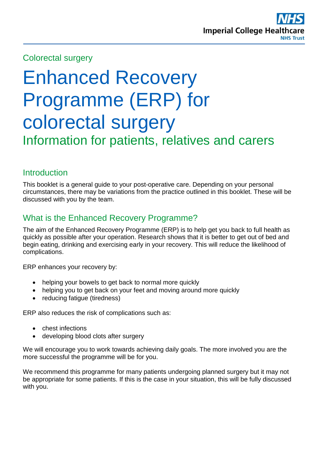

### Colorectal surgery

# Enhanced Recovery Programme (ERP) for colorectal surgery Information for patients, relatives and carers

# **Introduction**

This booklet is a general guide to your post-operative care. Depending on your personal circumstances, there may be variations from the practice outlined in this booklet. These will be discussed with you by the team.

# What is the Enhanced Recovery Programme?

The aim of the Enhanced Recovery Programme (ERP) is to help get you back to full health as quickly as possible after your operation. Research shows that it is better to get out of bed and begin eating, drinking and exercising early in your recovery. This will reduce the likelihood of complications.

ERP enhances your recovery by:

- helping your bowels to get back to normal more quickly
- helping you to get back on your feet and moving around more quickly
- reducing fatigue (tiredness)

ERP also reduces the risk of complications such as:

- chest infections
- developing blood clots after surgery

We will encourage you to work towards achieving daily goals. The more involved you are the more successful the programme will be for you.

We recommend this programme for many patients undergoing planned surgery but it may not be appropriate for some patients. If this is the case in your situation, this will be fully discussed with you.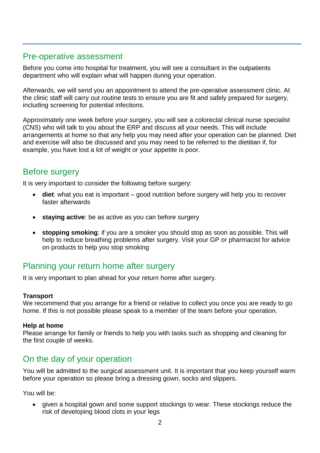# Pre-operative assessment

Before you come into hospital for treatment, you will see a consultant in the outpatients department who will explain what will happen during your operation.

Afterwards, we will send you an appointment to attend the pre-operative assessment clinic. At the clinic staff will carry out routine tests to ensure you are fit and safely prepared for surgery, including screening for potential infections.

Approximately one week before your surgery, you will see a colorectal clinical nurse specialist (CNS) who will talk to you about the ERP and discuss all your needs. This will include arrangements at home so that any help you may need after your operation can be planned. Diet and exercise will also be discussed and you may need to be referred to the dietitian if, for example, you have lost a lot of weight or your appetite is poor.

# Before surgery

It is very important to consider the following before surgery:

- **diet**: what you eat is important good nutrition before surgery will help you to recover faster afterwards
- **staying active**: be as active as you can before surgery
- **stopping smoking**: if you are a smoker you should stop as soon as possible. This will help to reduce breathing problems after surgery. Visit your GP or pharmacist for advice on products to help you stop smoking

# Planning your return home after surgery

It is very important to plan ahead for your return home after surgery.

#### **Transport**

We recommend that you arrange for a friend or relative to collect you once you are ready to go home. If this is not possible please speak to a member of the team before your operation.

#### **Help at home**

Please arrange for family or friends to help you with tasks such as shopping and cleaning for the first couple of weeks.

# On the day of your operation

You will be admitted to the surgical assessment unit. It is important that you keep yourself warm before your operation so please bring a dressing gown, socks and slippers.

You will be:

 given a hospital gown and some support stockings to wear. These stockings reduce the risk of developing blood clots in your legs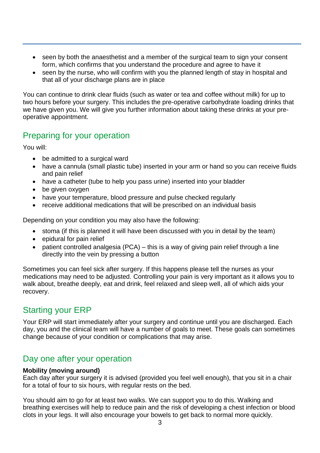- seen by both the anaesthetist and a member of the surgical team to sign your consent form, which confirms that you understand the procedure and agree to have it
- seen by the nurse, who will confirm with you the planned length of stay in hospital and that all of your discharge plans are in place

You can continue to drink clear fluids (such as water or tea and coffee without milk) for up to two hours before your surgery. This includes the pre-operative carbohydrate loading drinks that we have given you. We will give you further information about taking these drinks at your preoperative appointment.

# Preparing for your operation

You will:

- be admitted to a surgical ward
- have a cannula (small plastic tube) inserted in your arm or hand so you can receive fluids and pain relief
- have a catheter (tube to help you pass urine) inserted into your bladder
- be given oxygen
- have your temperature, blood pressure and pulse checked regularly
- receive additional medications that will be prescribed on an individual basis

Depending on your condition you may also have the following:

- stoma (if this is planned it will have been discussed with you in detail by the team)
- epidural for pain relief
- patient controlled analgesia (PCA) this is a way of giving pain relief through a line directly into the vein by pressing a button

Sometimes you can feel sick after surgery. If this happens please tell the nurses as your medications may need to be adjusted. Controlling your pain is very important as it allows you to walk about, breathe deeply, eat and drink, feel relaxed and sleep well, all of which aids your recovery.

# Starting your ERP

Your ERP will start immediately after your surgery and continue until you are discharged. Each day, you and the clinical team will have a number of goals to meet. These goals can sometimes change because of your condition or complications that may arise.

# Day one after your operation

#### **Mobility (moving around)**

Each day after your surgery it is advised (provided you feel well enough), that you sit in a chair for a total of four to six hours, with regular rests on the bed.

You should aim to go for at least two walks. We can support you to do this. Walking and breathing exercises will help to reduce pain and the risk of developing a chest infection or blood clots in your legs. It will also encourage your bowels to get back to normal more quickly.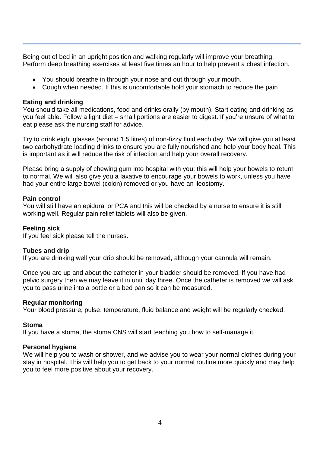Being out of bed in an upright position and walking regularly will improve your breathing. Perform deep breathing exercises at least five times an hour to help prevent a chest infection.

- You should breathe in through your nose and out through your mouth.
- Cough when needed. If this is uncomfortable hold your stomach to reduce the pain

#### **Eating and drinking**

You should take all medications, food and drinks orally (by mouth). Start eating and drinking as you feel able. Follow a light diet – small portions are easier to digest. If you're unsure of what to eat please ask the nursing staff for advice.

Try to drink eight glasses (around 1.5 litres) of non-fizzy fluid each day. We will give you at least two carbohydrate loading drinks to ensure you are fully nourished and help your body heal. This is important as it will reduce the risk of infection and help your overall recovery.

Please bring a supply of chewing gum into hospital with you; this will help your bowels to return to normal. We will also give you a laxative to encourage your bowels to work, unless you have had your entire large bowel (colon) removed or you have an ileostomy.

#### **Pain control**

You will still have an epidural or PCA and this will be checked by a nurse to ensure it is still working well. Regular pain relief tablets will also be given.

#### **Feeling sick**

If you feel sick please tell the nurses.

#### **Tubes and drip**

If you are drinking well your drip should be removed, although your cannula will remain.

Once you are up and about the catheter in your bladder should be removed. If you have had pelvic surgery then we may leave it in until day three. Once the catheter is removed we will ask you to pass urine into a bottle or a bed pan so it can be measured.

#### **Regular monitoring**

Your blood pressure, pulse, temperature, fluid balance and weight will be regularly checked.

#### **Stoma**

If you have a stoma, the stoma CNS will start teaching you how to self-manage it.

#### **Personal hygiene**

We will help you to wash or shower, and we advise you to wear your normal clothes during your stay in hospital. This will help you to get back to your normal routine more quickly and may help you to feel more positive about your recovery.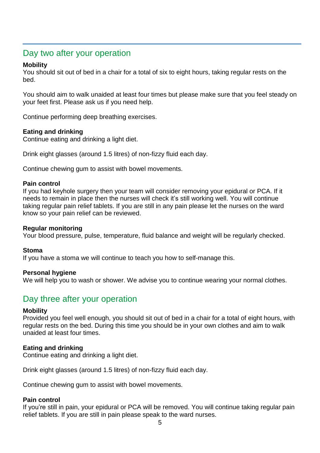### Day two after your operation

#### **Mobility**

You should sit out of bed in a chair for a total of six to eight hours, taking regular rests on the bed.

You should aim to walk unaided at least four times but please make sure that you feel steady on your feet first. Please ask us if you need help.

Continue performing deep breathing exercises.

#### **Eating and drinking**

Continue eating and drinking a light diet.

Drink eight glasses (around 1.5 litres) of non-fizzy fluid each day.

Continue chewing gum to assist with bowel movements.

#### **Pain control**

If you had keyhole surgery then your team will consider removing your epidural or PCA. If it needs to remain in place then the nurses will check it's still working well. You will continue taking regular pain relief tablets. If you are still in any pain please let the nurses on the ward know so your pain relief can be reviewed.

#### **Regular monitoring**

Your blood pressure, pulse, temperature, fluid balance and weight will be regularly checked.

#### **Stoma**

If you have a stoma we will continue to teach you how to self-manage this.

#### **Personal hygiene**

We will help you to wash or shower. We advise you to continue wearing your normal clothes.

### Day three after your operation

#### **Mobility**

Provided you feel well enough, you should sit out of bed in a chair for a total of eight hours, with regular rests on the bed. During this time you should be in your own clothes and aim to walk unaided at least four times.

#### **Eating and drinking**

Continue eating and drinking a light diet.

Drink eight glasses (around 1.5 litres) of non-fizzy fluid each day.

Continue chewing gum to assist with bowel movements.

#### **Pain control**

If you're still in pain, your epidural or PCA will be removed. You will continue taking regular pain relief tablets. If you are still in pain please speak to the ward nurses.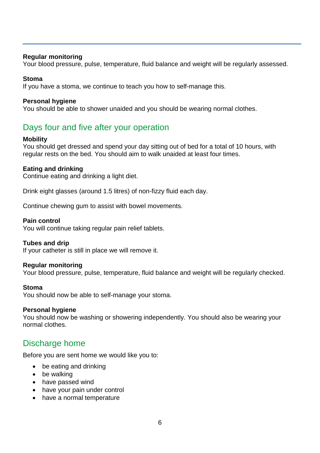#### **Regular monitoring**

Your blood pressure, pulse, temperature, fluid balance and weight will be regularly assessed.

#### **Stoma**

If you have a stoma, we continue to teach you how to self-manage this.

#### **Personal hygiene**

You should be able to shower unaided and you should be wearing normal clothes.

# Days four and five after your operation

#### **Mobility**

You should get dressed and spend your day sitting out of bed for a total of 10 hours, with regular rests on the bed. You should aim to walk unaided at least four times.

#### **Eating and drinking**

Continue eating and drinking a light diet.

Drink eight glasses (around 1.5 litres) of non-fizzy fluid each day.

Continue chewing gum to assist with bowel movements.

#### **Pain control**

You will continue taking regular pain relief tablets.

#### **Tubes and drip**

If your catheter is still in place we will remove it.

#### **Regular monitoring**

Your blood pressure, pulse, temperature, fluid balance and weight will be regularly checked.

#### **Stoma**

You should now be able to self-manage your stoma.

#### **Personal hygiene**

You should now be washing or showering independently. You should also be wearing your normal clothes.

### Discharge home

Before you are sent home we would like you to:

- be eating and drinking
- be walking
- have passed wind
- have your pain under control
- have a normal temperature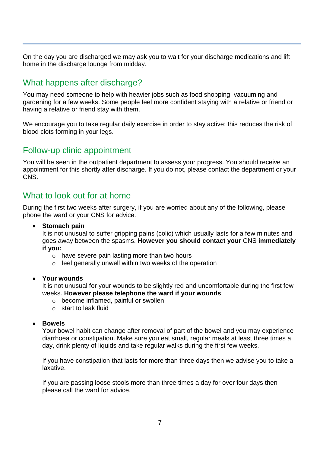On the day you are discharged we may ask you to wait for your discharge medications and lift home in the discharge lounge from midday.

# What happens after discharge?

You may need someone to help with heavier jobs such as food shopping, vacuuming and gardening for a few weeks. Some people feel more confident staying with a relative or friend or having a relative or friend stay with them.

We encourage you to take regular daily exercise in order to stay active; this reduces the risk of blood clots forming in your legs.

### Follow-up clinic appointment

You will be seen in the outpatient department to assess your progress. You should receive an appointment for this shortly after discharge. If you do not, please contact the department or your CNS.

### What to look out for at home

During the first two weeks after surgery, if you are worried about any of the following, please phone the ward or your CNS for advice.

**Stomach pain**

It is not unusual to suffer gripping pains (colic) which usually lasts for a few minutes and goes away between the spasms. **However you should contact your** CNS **immediately if you:**

- o have severe pain lasting more than two hours
- o feel generally unwell within two weeks of the operation

#### **Your wounds**

It is not unusual for your wounds to be slightly red and uncomfortable during the first few weeks. **However please telephone the ward if your wounds**:

- o become inflamed, painful or swollen
- o start to leak fluid

#### **Bowels**

Your bowel habit can change after removal of part of the bowel and you may experience diarrhoea or constipation. Make sure you eat small, regular meals at least three times a day, drink plenty of liquids and take regular walks during the first few weeks.

If you have constipation that lasts for more than three days then we advise you to take a laxative.

If you are passing loose stools more than three times a day for over four days then please call the ward for advice.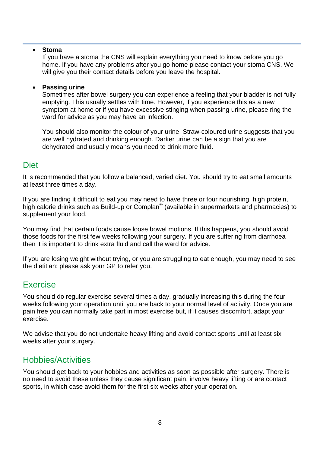#### **Stoma**

If you have a stoma the CNS will explain everything you need to know before you go home. If you have any problems after you go home please contact your stoma CNS. We will give you their contact details before you leave the hospital.

#### **Passing urine**

Sometimes after bowel surgery you can experience a feeling that your bladder is not fully emptying. This usually settles with time. However, if you experience this as a new symptom at home or if you have excessive stinging when passing urine, please ring the ward for advice as you may have an infection.

You should also monitor the colour of your urine. Straw-coloured urine suggests that you are well hydrated and drinking enough. Darker urine can be a sign that you are dehydrated and usually means you need to drink more fluid.

#### **Diet**

It is recommended that you follow a balanced, varied diet. You should try to eat small amounts at least three times a day.

If you are finding it difficult to eat you may need to have three or four nourishing, high protein, high calorie drinks such as Build-up or Complan® (available in supermarkets and pharmacies) to supplement your food.

You may find that certain foods cause loose bowel motions. If this happens, you should avoid those foods for the first few weeks following your surgery. If you are suffering from diarrhoea then it is important to drink extra fluid and call the ward for advice.

If you are losing weight without trying, or you are struggling to eat enough, you may need to see the dietitian; please ask your GP to refer you.

### Exercise

You should do regular exercise several times a day, gradually increasing this during the four weeks following your operation until you are back to your normal level of activity. Once you are pain free you can normally take part in most exercise but, if it causes discomfort, adapt your exercise.

We advise that you do not undertake heavy lifting and avoid contact sports until at least six weeks after your surgery.

### Hobbies/Activities

You should get back to your hobbies and activities as soon as possible after surgery. There is no need to avoid these unless they cause significant pain, involve heavy lifting or are contact sports, in which case avoid them for the first six weeks after your operation.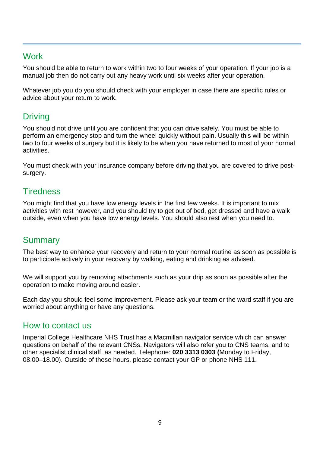# **Work**

You should be able to return to work within two to four weeks of your operation. If your job is a manual job then do not carry out any heavy work until six weeks after your operation.

Whatever job you do you should check with your employer in case there are specific rules or advice about your return to work.

# **Driving**

You should not drive until you are confident that you can drive safely. You must be able to perform an emergency stop and turn the wheel quickly without pain. Usually this will be within two to four weeks of surgery but it is likely to be when you have returned to most of your normal activities.

You must check with your insurance company before driving that you are covered to drive postsurgery.

# **Tiredness**

You might find that you have low energy levels in the first few weeks. It is important to mix activities with rest however, and you should try to get out of bed, get dressed and have a walk outside, even when you have low energy levels. You should also rest when you need to.

# Summary

The best way to enhance your recovery and return to your normal routine as soon as possible is to participate actively in your recovery by walking, eating and drinking as advised.

We will support you by removing attachments such as your drip as soon as possible after the operation to make moving around easier.

Each day you should feel some improvement. Please ask your team or the ward staff if you are worried about anything or have any questions.

### How to contact us

Imperial College Healthcare NHS Trust has a Macmillan navigator service which can answer questions on behalf of the relevant CNSs. Navigators will also refer you to CNS teams, and to other specialist clinical staff, as needed. Telephone: **020 3313 0303 (**Monday to Friday, 08.00–18.00). Outside of these hours, please contact your GP or phone NHS 111.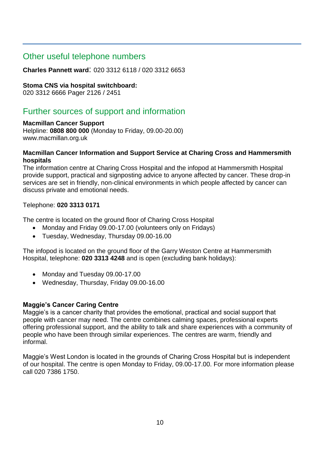# Other useful telephone numbers

**Charles Pannett ward**: 020 3312 6118 / 020 3312 6653

#### **Stoma CNS via hospital switchboard:**

020 3312 6666 Pager 2126 / 2451

# Further sources of support and information

#### **Macmillan Cancer Support**

Helpline: **0808 800 000** (Monday to Friday, 09.00-20.00) www.macmillan.org.uk

#### **Macmillan Cancer Information and Support Service at Charing Cross and Hammersmith hospitals**

The information centre at Charing Cross Hospital and the infopod at Hammersmith Hospital provide support, practical and signposting advice to anyone affected by cancer. These drop-in services are set in friendly, non-clinical environments in which people affected by cancer can discuss private and emotional needs.

#### Telephone: **020 3313 0171**

The centre is located on the ground floor of Charing Cross Hospital

- Monday and Friday 09.00-17.00 (volunteers only on Fridays)
- Tuesday, Wednesday, Thursday 09.00-16.00

The infopod is located on the ground floor of the Garry Weston Centre at Hammersmith Hospital, telephone: **020 3313 4248** and is open (excluding bank holidays):

- Monday and Tuesday 09.00-17.00
- Wednesday, Thursday, Friday 09.00-16.00

#### **Maggie's Cancer Caring Centre**

Maggie's is a cancer charity that provides the emotional, practical and social support that people with cancer may need. The centre combines calming spaces, professional experts offering professional support, and the ability to talk and share experiences with a community of people who have been through similar experiences. The centres are warm, friendly and informal.

Maggie's West London is located in the grounds of Charing Cross Hospital but is independent of our hospital. The centre is open Monday to Friday, 09.00-17.00. For more information please call 020 7386 1750.